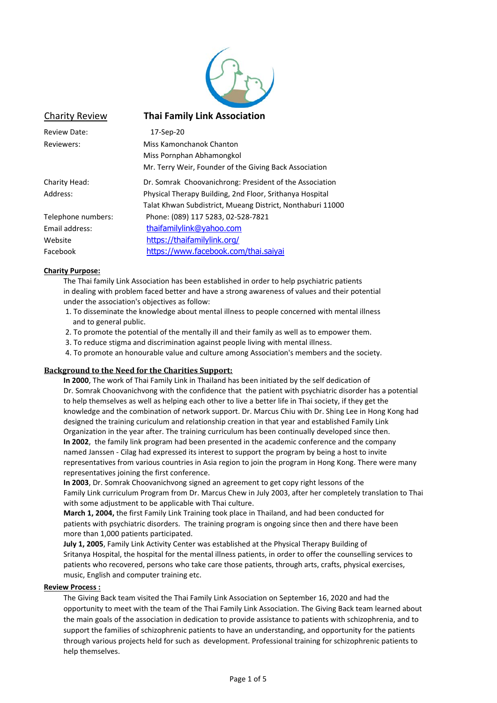

### Charity Review **Thai Family Link Association**

| 17-Sep-20                                                  |
|------------------------------------------------------------|
| Miss Kamonchanok Chanton                                   |
| Miss Pornphan Abhamongkol                                  |
| Mr. Terry Weir, Founder of the Giving Back Association     |
| Dr. Somrak Choovanichrong: President of the Association    |
| Physical Therapy Building, 2nd Floor, Srithanya Hospital   |
| Talat Khwan Subdistrict, Mueang District, Nonthaburi 11000 |
| Phone: (089) 117 5283, 02-528-7821                         |
| thaifamilylink@yahoo.com                                   |
| https://thaifamilylink.org/                                |
| https://www.facebook.com/thai.saiyai                       |
|                                                            |

#### **Charity Purpose:**

The Thai family Link Association has been established in order to help psychiatric patients in dealing with problem faced better and have a strong awareness of values and their potential under the association's objectives as follow:

- 1. To disseminate the knowledge about mental illness to people concerned with mental illness and to general public.
- 2. To promote the potential of the mentally ill and their family as well as to empower them.
- 3. To reduce stigma and discrimination against people living with mental illness.
- 4. To promote an honourable value and culture among Association's members and the society.

#### **Background to the Need for the Charities Support:**

**In 2000**, The work of Thai Family Link in Thailand has been initiated by the self dedication of Dr. Somrak Choovanichvong with the confidence that the patient with psychiatric disorder has a potential to help themselves as well as helping each other to live a better life in Thai society, if they get the knowledge and the combination of network support. Dr. Marcus Chiu with Dr. Shing Lee in Hong Kong had designed the training curiculum and relationship creation in that year and established Family Link Organization in the year after. The training curriculum has been continually developed since then. **In 2002**, the family link program had been presented in the academic conference and the company named Janssen - Cilag had expressed its interest to support the program by being a host to invite representatives from various countries in Asia region to join the program in Hong Kong. There were many representatives joining the first conference.

**In 2003**, Dr. Somrak Choovanichvong signed an agreement to get copy right lessons of the Family Link curriculum Program from Dr. Marcus Chew in July 2003, after her completely translation to Thai with some adjustment to be applicable with Thai culture.

**March 1, 2004,** the first Family Link Training took place in Thailand, and had been conducted for patients with psychiatric disorders. The training program is ongoing since then and there have been more than 1,000 patients participated.

**July 1, 2005**, Family Link Activity Center was established at the Physical Therapy Building of Sritanya Hospital, the hospital for the mental illness patients, in order to offer the counselling services to patients who recovered, persons who take care those patients, through arts, crafts, physical exercises, music, English and computer training etc.

#### **Review Process :**

The Giving Back team visited the Thai Family Link Association on September 16, 2020 and had the opportunity to meet with the team of the Thai Family Link Association. The Giving Back team learned about the main goals of the association in dedication to provide assistance to patients with schizophrenia, and to support the families of schizophrenic patients to have an understanding, and opportunity for the patients through various projects held for such as development. Professional training for schizophrenic patients to help themselves.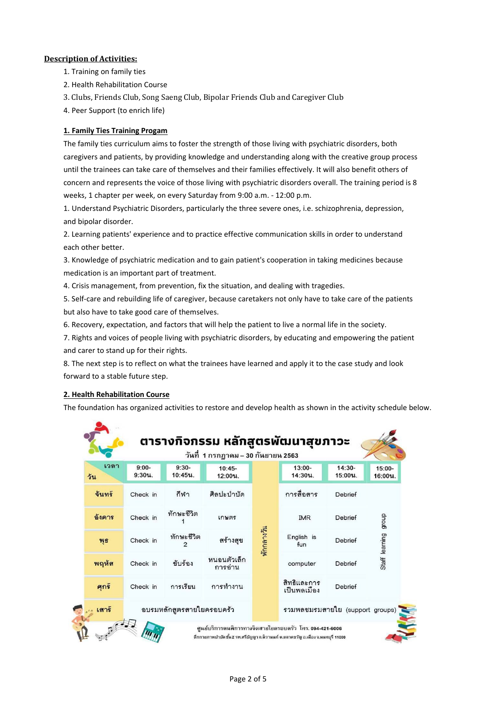## **Description of Activities:**

- 1. Training on family ties
- 2. Health Rehabilitation Course
- 3. Clubs, Friends Club, Song Saeng Club, Bipolar Friends Club and Caregiver Club
- 4. Peer Support (to enrich life)

## **1. Family Ties Training Progam**

The family ties curriculum aims to foster the strength of those living with psychiatric disorders, both caregivers and patients, by providing knowledge and understanding along with the creative group process until the trainees can take care of themselves and their families effectively. It will also benefit others of concern and represents the voice of those living with psychiatric disorders overall. The training period is 8 weeks, 1 chapter per week, on every Saturday from 9:00 a.m. - 12:00 p.m.

1. Understand Psychiatric Disorders, particularly the three severe ones, i.e. schizophrenia, depression, and bipolar disorder.

2. Learning patients' experience and to practice effective communication skills in order to understand each other better.

3. Knowledge of psychiatric medication and to gain patient's cooperation in taking medicines because medication is an important part of treatment.

4. Crisis management, from prevention, fix the situation, and dealing with tragedies.

5. Self-care and rebuilding life of caregiver, because caretakers not only have to take care of the patients but also have to take good care of themselves.

6. Recovery, expectation, and factors that will help the patient to live a normal life in the society.

7. Rights and voices of people living with psychiatric disorders, by educating and empowering the patient and carer to stand up for their rights.

8. The next step is to reflect on what the trainees have learned and apply it to the case study and look forward to a stable future step.

## **2. Health Rehabilitation Course**

The foundation has organized activities to restore and develop health as shown in the activity schedule below.

| เวลา   |                      |                              | วันที่ 1 กรกฎาคม – 30 กันยายน 2563 |            |                                 |                     |                   |
|--------|----------------------|------------------------------|------------------------------------|------------|---------------------------------|---------------------|-------------------|
| วัน    | $9:00-$<br>$9:30u$ . | $9:30-$<br>10:45น.           | $10:45-$<br>$12:00$ $u$ .          |            | $13:00-$<br>14:30น.             | $14:30-$<br>15:00น. | 15:00-<br>16:00น. |
| จันทร์ | Check in             | กีฬา                         | ศิลปะบำบัด                         |            | การสื่อสาร                      | Debrief             |                   |
| อังคาร | Check in             | ทักษะชีวิต                   | เกษตร                              |            | <b>IMR</b>                      | Debrief             | dhoub             |
| Wfi    | Check in             | ทักษะชีวิต<br>$\mathfrak{p}$ | สร้างสุข                           | พักกลางวัน | English is<br>fun               | Debrief             | Staff learning    |
| พฤหัส  | Check in             | ขับร้อง                      | หนอนตัวเล็ก<br>การอ่าน             |            | computer                        | Debrief             |                   |
| ศุกร์  | Check in             | การเรียน                     | การทำงาน                           |            | สิทธิและการ<br>เป็นพลเมือง      | Debrief             |                   |
| เสาร์  |                      | อบรมหลักสูตรสายใยครอบครัว    |                                    |            | รวมพลชมรมสายใย (support groups) |                     |                   |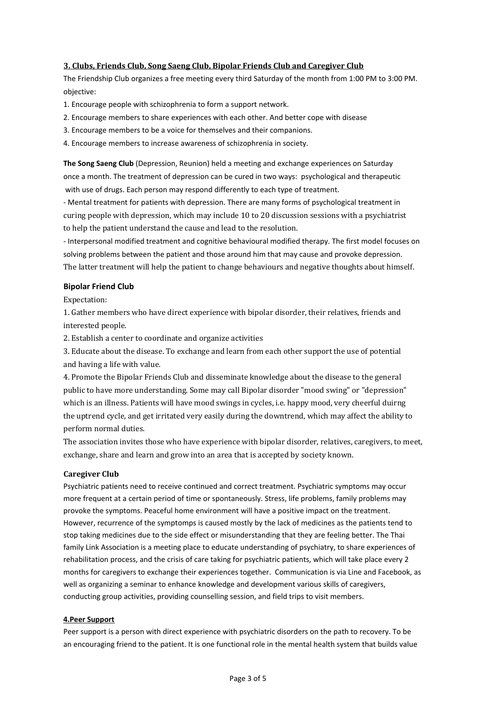#### **3. Clubs, Friends Club, Song Saeng Club, Bipolar Friends Club and Caregiver Club**

The Friendship Club organizes a free meeting every third Saturday of the month from 1:00 PM to 3:00 PM. objective:

- 1. Encourage people with schizophrenia to form a support network.
- 2. Encourage members to share experiences with each other. And better cope with disease
- 3. Encourage members to be a voice for themselves and their companions.
- 4. Encourage members to increase awareness of schizophrenia in society.

**The Song Saeng Club** (Depression, Reunion) held a meeting and exchange experiences on Saturday once a month. The treatment of depression can be cured in two ways: psychological and therapeutic with use of drugs. Each person may respond differently to each type of treatment.

- Mental treatment for patients with depression. There are many forms of psychological treatment in curing people with depression, which may include 10 to 20 discussion sessions with a psychiatrist to help the patient understand the cause and lead to the resolution.

- Interpersonal modified treatment and cognitive behavioural modified therapy. The first model focuses on solving problems between the patient and those around him that may cause and provoke depression. The latter treatment will help the patient to change behaviours and negative thoughts about himself.

#### **Bipolar Friend Club**

Expectation:

1. Gather members who have direct experience with bipolar disorder, their relatives, friends and interested people.

2. Establish a center to coordinate and organize activities

3. Educate about the disease. To exchange and learn from each other support the use of potential and having a life with value.

4. Promote the Bipolar Friends Club and disseminate knowledge about the disease to the general public to have more understanding. Some may call Bipolar disorder "mood swing" or "depression" which is an illness. Patients will have mood swings in cycles, i.e. happy mood, very cheerful duirng the uptrend cycle, and get irritated very easily during the downtrend, which may affect the ability to perform normal duties.

The association invites those who have experience with bipolar disorder, relatives, caregivers, to meet, exchange, share and learn and grow into an area that is accepted by society known.

#### **Caregiver Club**

Psychiatric patients need to receive continued and correct treatment. Psychiatric symptoms may occur more frequent at a certain period of time or spontaneously. Stress, life problems, family problems may provoke the symptoms. Peaceful home environment will have a positive impact on the treatment. However, recurrence of the symptomps is caused mostly by the lack of medicines as the patients tend to stop taking medicines due to the side effect or misunderstanding that they are feeling better. The Thai family Link Association is a meeting place to educate understanding of psychiatry, to share experiences of rehabilitation process, and the crisis of care taking for psychiatric patients, which will take place every 2 months for caregivers to exchange their experiences together. Communication is via Line and Facebook, as well as organizing a seminar to enhance knowledge and development various skills of caregivers, conducting group activities, providing counselling session, and field trips to visit members.

#### **4.Peer Support**

Peer support is a person with direct experience with psychiatric disorders on the path to recovery. To be an encouraging friend to the patient. It is one functional role in the mental health system that builds value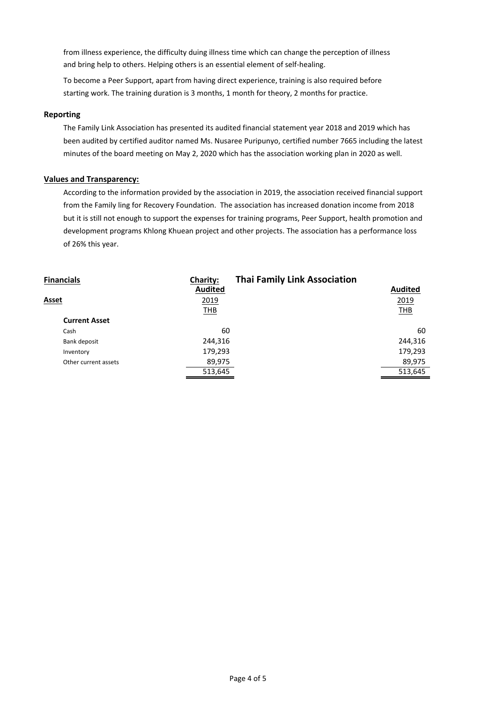from illness experience, the difficulty duing illness time which can change the perception of illness and bring help to others. Helping others is an essential element of self-healing.

To become a Peer Support, apart from having direct experience, training is also required before starting work. The training duration is 3 months, 1 month for theory, 2 months for practice.

#### **Reporting**

The Family Link Association has presented its audited financial statement year 2018 and 2019 which has been audited by certified auditor named Ms. Nusaree Puripunyo, certified number 7665 including the latest minutes of the board meeting on May 2, 2020 which has the association working plan in 2020 as well.

#### **Values and Transparency:**

According to the information provided by the association in 2019, the association received financial support from the Family ling for Recovery Foundation. The association has increased donation income from 2018 but it is still not enough to support the expenses for training programs, Peer Support, health promotion and development programs Khlong Khuean project and other projects. The association has a performance loss of 26% this year.

| <b>Financials</b>    | <b>Charity:</b> | <b>Thai Family Link Association</b> |                |
|----------------------|-----------------|-------------------------------------|----------------|
|                      | <b>Audited</b>  |                                     | <b>Audited</b> |
| Asset                | 2019            |                                     | 2019           |
|                      | <b>THB</b>      |                                     | <b>THB</b>     |
| <b>Current Asset</b> |                 |                                     |                |
| Cash                 | 60              |                                     | 60             |
| Bank deposit         | 244,316         |                                     | 244,316        |
| Inventory            | 179,293         |                                     | 179,293        |
| Other current assets | 89,975          |                                     | 89,975         |
|                      | 513,645         |                                     | 513,645        |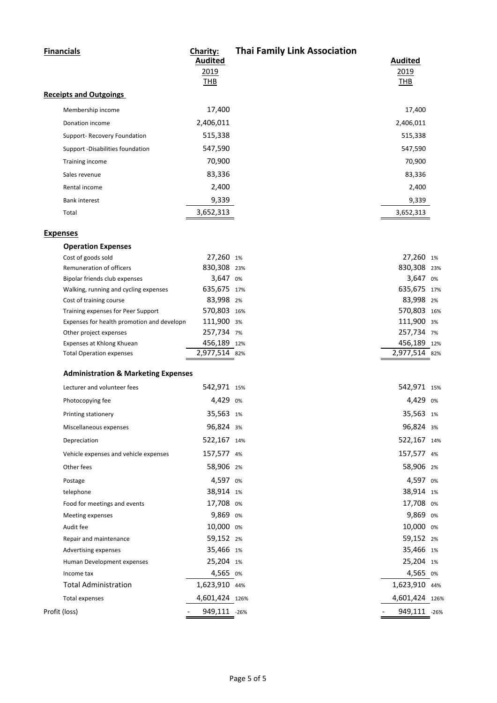| 2019<br>2019<br><b>THB</b><br><b>THB</b><br>17,400<br>17,400<br>Membership income<br>2,406,011<br>2,406,011<br>Donation income<br>515,338<br>515,338<br>Support- Recovery Foundation<br>547,590<br>Support -Disabilities foundation<br>547,590<br>70,900<br>70,900<br>Training income<br>83,336<br>83,336<br>Sales revenue<br>2,400<br>2,400<br>Rental income<br>9,339<br>9,339<br><b>Bank interest</b><br>3,652,313<br>3,652,313<br>Total<br><b>Operation Expenses</b><br>27,260 1%<br>27,260 1%<br>Cost of goods sold<br>830,308 23%<br>830,308 23%<br>Remuneration of officers<br>3,647 0%<br>3,647 0%<br>Bipolar friends club expenses<br>635,675 17%<br>635,675 17%<br>Walking, running and cycling expenses<br>83,998 2%<br>83,998 2%<br>Cost of training course<br>570,803 16%<br>570,803 16%<br>Training expenses for Peer Support<br>111,900 3%<br>111,900 3%<br>Expenses for health promotion and developn<br>257,734 7%<br>257,734 7%<br>Other project expenses<br>456,189 12%<br>456,189 12%<br>Expenses at Khlong Khuean<br>2,977,514 82%<br>2,977,514 82%<br><b>Total Operation expenses</b><br><b>Administration &amp; Marketing Expenses</b><br>542,971 15%<br>542,971 15%<br>Lecturer and volunteer fees<br>4,429 0%<br>4,429<br>Photocopying fee<br>0%<br>35,563 1%<br>35,563 1%<br>Printing stationery<br>96,824 3%<br>96,824 3%<br>Miscellaneous expenses<br>522,167 14%<br>522,167 14%<br>Depreciation<br>157,577 4%<br>157,577 4%<br>Vehicle expenses and vehicle expenses<br>58,906 2%<br>58,906 2%<br>Other fees<br>4,597 0%<br>4,597 0%<br>Postage<br>38,914 1%<br>38,914 1%<br>telephone<br>17,708 0%<br>17,708 0%<br>Food for meetings and events<br>9,869 0%<br>9,869 0%<br>Meeting expenses<br>10,000 0%<br>10,000 0%<br>Audit fee | <b>Financials</b>             | Charity:<br><b>Audited</b> | <b>Thai Family Link Association</b> | <b>Audited</b> |  |
|-----------------------------------------------------------------------------------------------------------------------------------------------------------------------------------------------------------------------------------------------------------------------------------------------------------------------------------------------------------------------------------------------------------------------------------------------------------------------------------------------------------------------------------------------------------------------------------------------------------------------------------------------------------------------------------------------------------------------------------------------------------------------------------------------------------------------------------------------------------------------------------------------------------------------------------------------------------------------------------------------------------------------------------------------------------------------------------------------------------------------------------------------------------------------------------------------------------------------------------------------------------------------------------------------------------------------------------------------------------------------------------------------------------------------------------------------------------------------------------------------------------------------------------------------------------------------------------------------------------------------------------------------------------------------------------------------------------------------------------------------------------------|-------------------------------|----------------------------|-------------------------------------|----------------|--|
|                                                                                                                                                                                                                                                                                                                                                                                                                                                                                                                                                                                                                                                                                                                                                                                                                                                                                                                                                                                                                                                                                                                                                                                                                                                                                                                                                                                                                                                                                                                                                                                                                                                                                                                                                                 |                               |                            |                                     |                |  |
|                                                                                                                                                                                                                                                                                                                                                                                                                                                                                                                                                                                                                                                                                                                                                                                                                                                                                                                                                                                                                                                                                                                                                                                                                                                                                                                                                                                                                                                                                                                                                                                                                                                                                                                                                                 | <b>Receipts and Outgoings</b> |                            |                                     |                |  |
|                                                                                                                                                                                                                                                                                                                                                                                                                                                                                                                                                                                                                                                                                                                                                                                                                                                                                                                                                                                                                                                                                                                                                                                                                                                                                                                                                                                                                                                                                                                                                                                                                                                                                                                                                                 |                               |                            |                                     |                |  |
|                                                                                                                                                                                                                                                                                                                                                                                                                                                                                                                                                                                                                                                                                                                                                                                                                                                                                                                                                                                                                                                                                                                                                                                                                                                                                                                                                                                                                                                                                                                                                                                                                                                                                                                                                                 |                               |                            |                                     |                |  |
|                                                                                                                                                                                                                                                                                                                                                                                                                                                                                                                                                                                                                                                                                                                                                                                                                                                                                                                                                                                                                                                                                                                                                                                                                                                                                                                                                                                                                                                                                                                                                                                                                                                                                                                                                                 |                               |                            |                                     |                |  |
|                                                                                                                                                                                                                                                                                                                                                                                                                                                                                                                                                                                                                                                                                                                                                                                                                                                                                                                                                                                                                                                                                                                                                                                                                                                                                                                                                                                                                                                                                                                                                                                                                                                                                                                                                                 |                               |                            |                                     |                |  |
|                                                                                                                                                                                                                                                                                                                                                                                                                                                                                                                                                                                                                                                                                                                                                                                                                                                                                                                                                                                                                                                                                                                                                                                                                                                                                                                                                                                                                                                                                                                                                                                                                                                                                                                                                                 |                               |                            |                                     |                |  |
|                                                                                                                                                                                                                                                                                                                                                                                                                                                                                                                                                                                                                                                                                                                                                                                                                                                                                                                                                                                                                                                                                                                                                                                                                                                                                                                                                                                                                                                                                                                                                                                                                                                                                                                                                                 |                               |                            |                                     |                |  |
|                                                                                                                                                                                                                                                                                                                                                                                                                                                                                                                                                                                                                                                                                                                                                                                                                                                                                                                                                                                                                                                                                                                                                                                                                                                                                                                                                                                                                                                                                                                                                                                                                                                                                                                                                                 |                               |                            |                                     |                |  |
|                                                                                                                                                                                                                                                                                                                                                                                                                                                                                                                                                                                                                                                                                                                                                                                                                                                                                                                                                                                                                                                                                                                                                                                                                                                                                                                                                                                                                                                                                                                                                                                                                                                                                                                                                                 |                               |                            |                                     |                |  |
|                                                                                                                                                                                                                                                                                                                                                                                                                                                                                                                                                                                                                                                                                                                                                                                                                                                                                                                                                                                                                                                                                                                                                                                                                                                                                                                                                                                                                                                                                                                                                                                                                                                                                                                                                                 |                               |                            |                                     |                |  |
|                                                                                                                                                                                                                                                                                                                                                                                                                                                                                                                                                                                                                                                                                                                                                                                                                                                                                                                                                                                                                                                                                                                                                                                                                                                                                                                                                                                                                                                                                                                                                                                                                                                                                                                                                                 |                               |                            |                                     |                |  |
|                                                                                                                                                                                                                                                                                                                                                                                                                                                                                                                                                                                                                                                                                                                                                                                                                                                                                                                                                                                                                                                                                                                                                                                                                                                                                                                                                                                                                                                                                                                                                                                                                                                                                                                                                                 | <b>Expenses</b>               |                            |                                     |                |  |
|                                                                                                                                                                                                                                                                                                                                                                                                                                                                                                                                                                                                                                                                                                                                                                                                                                                                                                                                                                                                                                                                                                                                                                                                                                                                                                                                                                                                                                                                                                                                                                                                                                                                                                                                                                 |                               |                            |                                     |                |  |
|                                                                                                                                                                                                                                                                                                                                                                                                                                                                                                                                                                                                                                                                                                                                                                                                                                                                                                                                                                                                                                                                                                                                                                                                                                                                                                                                                                                                                                                                                                                                                                                                                                                                                                                                                                 |                               |                            |                                     |                |  |
|                                                                                                                                                                                                                                                                                                                                                                                                                                                                                                                                                                                                                                                                                                                                                                                                                                                                                                                                                                                                                                                                                                                                                                                                                                                                                                                                                                                                                                                                                                                                                                                                                                                                                                                                                                 |                               |                            |                                     |                |  |
|                                                                                                                                                                                                                                                                                                                                                                                                                                                                                                                                                                                                                                                                                                                                                                                                                                                                                                                                                                                                                                                                                                                                                                                                                                                                                                                                                                                                                                                                                                                                                                                                                                                                                                                                                                 |                               |                            |                                     |                |  |
|                                                                                                                                                                                                                                                                                                                                                                                                                                                                                                                                                                                                                                                                                                                                                                                                                                                                                                                                                                                                                                                                                                                                                                                                                                                                                                                                                                                                                                                                                                                                                                                                                                                                                                                                                                 |                               |                            |                                     |                |  |
|                                                                                                                                                                                                                                                                                                                                                                                                                                                                                                                                                                                                                                                                                                                                                                                                                                                                                                                                                                                                                                                                                                                                                                                                                                                                                                                                                                                                                                                                                                                                                                                                                                                                                                                                                                 |                               |                            |                                     |                |  |
|                                                                                                                                                                                                                                                                                                                                                                                                                                                                                                                                                                                                                                                                                                                                                                                                                                                                                                                                                                                                                                                                                                                                                                                                                                                                                                                                                                                                                                                                                                                                                                                                                                                                                                                                                                 |                               |                            |                                     |                |  |
|                                                                                                                                                                                                                                                                                                                                                                                                                                                                                                                                                                                                                                                                                                                                                                                                                                                                                                                                                                                                                                                                                                                                                                                                                                                                                                                                                                                                                                                                                                                                                                                                                                                                                                                                                                 |                               |                            |                                     |                |  |
|                                                                                                                                                                                                                                                                                                                                                                                                                                                                                                                                                                                                                                                                                                                                                                                                                                                                                                                                                                                                                                                                                                                                                                                                                                                                                                                                                                                                                                                                                                                                                                                                                                                                                                                                                                 |                               |                            |                                     |                |  |
|                                                                                                                                                                                                                                                                                                                                                                                                                                                                                                                                                                                                                                                                                                                                                                                                                                                                                                                                                                                                                                                                                                                                                                                                                                                                                                                                                                                                                                                                                                                                                                                                                                                                                                                                                                 |                               |                            |                                     |                |  |
|                                                                                                                                                                                                                                                                                                                                                                                                                                                                                                                                                                                                                                                                                                                                                                                                                                                                                                                                                                                                                                                                                                                                                                                                                                                                                                                                                                                                                                                                                                                                                                                                                                                                                                                                                                 |                               |                            |                                     |                |  |
|                                                                                                                                                                                                                                                                                                                                                                                                                                                                                                                                                                                                                                                                                                                                                                                                                                                                                                                                                                                                                                                                                                                                                                                                                                                                                                                                                                                                                                                                                                                                                                                                                                                                                                                                                                 |                               |                            |                                     |                |  |
|                                                                                                                                                                                                                                                                                                                                                                                                                                                                                                                                                                                                                                                                                                                                                                                                                                                                                                                                                                                                                                                                                                                                                                                                                                                                                                                                                                                                                                                                                                                                                                                                                                                                                                                                                                 |                               |                            |                                     |                |  |
|                                                                                                                                                                                                                                                                                                                                                                                                                                                                                                                                                                                                                                                                                                                                                                                                                                                                                                                                                                                                                                                                                                                                                                                                                                                                                                                                                                                                                                                                                                                                                                                                                                                                                                                                                                 |                               |                            |                                     |                |  |
|                                                                                                                                                                                                                                                                                                                                                                                                                                                                                                                                                                                                                                                                                                                                                                                                                                                                                                                                                                                                                                                                                                                                                                                                                                                                                                                                                                                                                                                                                                                                                                                                                                                                                                                                                                 |                               |                            |                                     |                |  |
|                                                                                                                                                                                                                                                                                                                                                                                                                                                                                                                                                                                                                                                                                                                                                                                                                                                                                                                                                                                                                                                                                                                                                                                                                                                                                                                                                                                                                                                                                                                                                                                                                                                                                                                                                                 |                               |                            |                                     |                |  |
|                                                                                                                                                                                                                                                                                                                                                                                                                                                                                                                                                                                                                                                                                                                                                                                                                                                                                                                                                                                                                                                                                                                                                                                                                                                                                                                                                                                                                                                                                                                                                                                                                                                                                                                                                                 |                               |                            |                                     |                |  |
|                                                                                                                                                                                                                                                                                                                                                                                                                                                                                                                                                                                                                                                                                                                                                                                                                                                                                                                                                                                                                                                                                                                                                                                                                                                                                                                                                                                                                                                                                                                                                                                                                                                                                                                                                                 |                               |                            |                                     |                |  |
|                                                                                                                                                                                                                                                                                                                                                                                                                                                                                                                                                                                                                                                                                                                                                                                                                                                                                                                                                                                                                                                                                                                                                                                                                                                                                                                                                                                                                                                                                                                                                                                                                                                                                                                                                                 |                               |                            |                                     |                |  |
|                                                                                                                                                                                                                                                                                                                                                                                                                                                                                                                                                                                                                                                                                                                                                                                                                                                                                                                                                                                                                                                                                                                                                                                                                                                                                                                                                                                                                                                                                                                                                                                                                                                                                                                                                                 |                               |                            |                                     |                |  |
|                                                                                                                                                                                                                                                                                                                                                                                                                                                                                                                                                                                                                                                                                                                                                                                                                                                                                                                                                                                                                                                                                                                                                                                                                                                                                                                                                                                                                                                                                                                                                                                                                                                                                                                                                                 |                               |                            |                                     |                |  |
|                                                                                                                                                                                                                                                                                                                                                                                                                                                                                                                                                                                                                                                                                                                                                                                                                                                                                                                                                                                                                                                                                                                                                                                                                                                                                                                                                                                                                                                                                                                                                                                                                                                                                                                                                                 |                               |                            |                                     |                |  |
|                                                                                                                                                                                                                                                                                                                                                                                                                                                                                                                                                                                                                                                                                                                                                                                                                                                                                                                                                                                                                                                                                                                                                                                                                                                                                                                                                                                                                                                                                                                                                                                                                                                                                                                                                                 |                               |                            |                                     |                |  |
|                                                                                                                                                                                                                                                                                                                                                                                                                                                                                                                                                                                                                                                                                                                                                                                                                                                                                                                                                                                                                                                                                                                                                                                                                                                                                                                                                                                                                                                                                                                                                                                                                                                                                                                                                                 |                               |                            |                                     |                |  |
| 59,152 2%<br>59,152 2%<br>Repair and maintenance                                                                                                                                                                                                                                                                                                                                                                                                                                                                                                                                                                                                                                                                                                                                                                                                                                                                                                                                                                                                                                                                                                                                                                                                                                                                                                                                                                                                                                                                                                                                                                                                                                                                                                                |                               |                            |                                     |                |  |
| 35,466 1%<br>35,466 1%<br>Advertising expenses                                                                                                                                                                                                                                                                                                                                                                                                                                                                                                                                                                                                                                                                                                                                                                                                                                                                                                                                                                                                                                                                                                                                                                                                                                                                                                                                                                                                                                                                                                                                                                                                                                                                                                                  |                               |                            |                                     |                |  |
| 25,204 1%<br>25,204 1%<br>Human Development expenses                                                                                                                                                                                                                                                                                                                                                                                                                                                                                                                                                                                                                                                                                                                                                                                                                                                                                                                                                                                                                                                                                                                                                                                                                                                                                                                                                                                                                                                                                                                                                                                                                                                                                                            |                               |                            |                                     |                |  |
| 4,565 0%<br>4,565 0%<br>Income tax                                                                                                                                                                                                                                                                                                                                                                                                                                                                                                                                                                                                                                                                                                                                                                                                                                                                                                                                                                                                                                                                                                                                                                                                                                                                                                                                                                                                                                                                                                                                                                                                                                                                                                                              |                               |                            |                                     |                |  |
| 1,623,910 44%<br><b>Total Administration</b><br>1,623,910 44%                                                                                                                                                                                                                                                                                                                                                                                                                                                                                                                                                                                                                                                                                                                                                                                                                                                                                                                                                                                                                                                                                                                                                                                                                                                                                                                                                                                                                                                                                                                                                                                                                                                                                                   |                               |                            |                                     |                |  |
| 4,601,424 126%<br>4,601,424 126%<br><b>Total expenses</b>                                                                                                                                                                                                                                                                                                                                                                                                                                                                                                                                                                                                                                                                                                                                                                                                                                                                                                                                                                                                                                                                                                                                                                                                                                                                                                                                                                                                                                                                                                                                                                                                                                                                                                       |                               |                            |                                     |                |  |
| 949,111 -26%<br>949,111 -26%                                                                                                                                                                                                                                                                                                                                                                                                                                                                                                                                                                                                                                                                                                                                                                                                                                                                                                                                                                                                                                                                                                                                                                                                                                                                                                                                                                                                                                                                                                                                                                                                                                                                                                                                    | Profit (loss)                 |                            |                                     |                |  |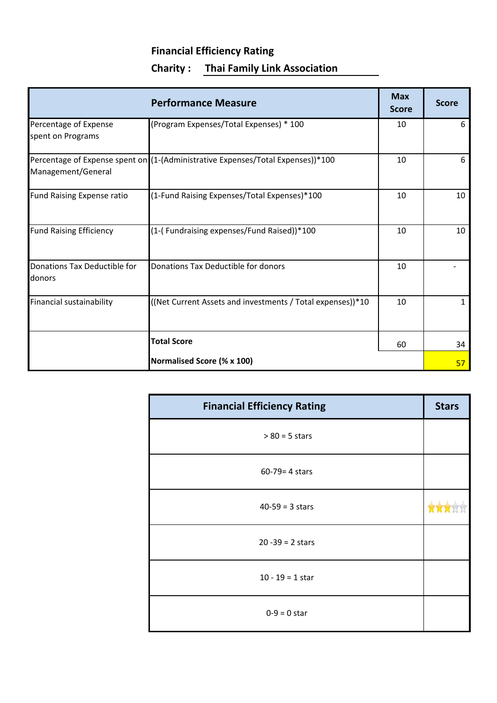# **Financial Efficiency Rating Charity : Thai Family Link Association**

|                                            | <b>Performance Measure</b>                                                      | <b>Max</b><br><b>Score</b> | <b>Score</b> |
|--------------------------------------------|---------------------------------------------------------------------------------|----------------------------|--------------|
| Percentage of Expense<br>spent on Programs | (Program Expenses/Total Expenses) * 100                                         | 10                         | 6            |
| Management/General                         | Percentage of Expense spent on (1-(Administrative Expenses/Total Expenses))*100 | 10                         | 6            |
| <b>Fund Raising Expense ratio</b>          | (1-Fund Raising Expenses/Total Expenses)*100                                    | 10                         | 10           |
| <b>Fund Raising Efficiency</b>             | (1-(Fundraising expenses/Fund Raised))*100                                      | 10                         | 10           |
| Donations Tax Deductible for<br>donors     | Donations Tax Deductible for donors                                             | 10                         |              |
| Financial sustainability                   | ((Net Current Assets and investments / Total expenses))*10                      | 10                         | 1            |
|                                            | <b>Total Score</b>                                                              | 60                         | 34           |
|                                            | Normalised Score (% x 100)                                                      |                            | 57           |

| <b>Financial Efficiency Rating</b> | <b>Stars</b> |
|------------------------------------|--------------|
| $> 80 = 5$ stars                   |              |
| 60-79= 4 stars                     |              |
| $40-59 = 3$ stars                  |              |
| $20 - 39 = 2$ stars                |              |
| $10 - 19 = 1$ star                 |              |
| $0-9 = 0$ star                     |              |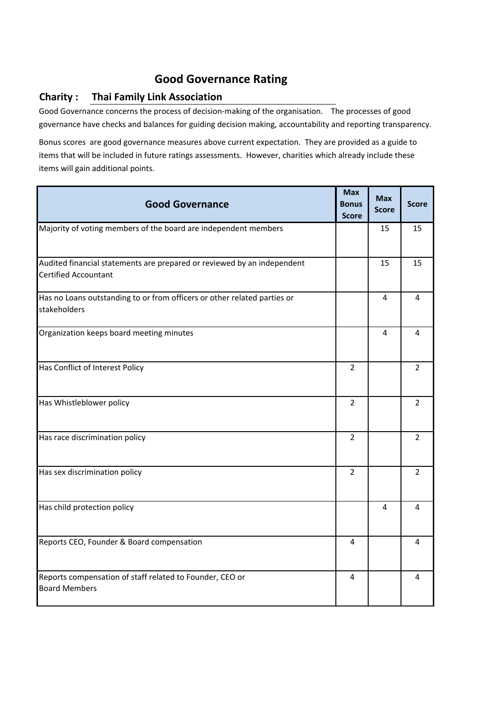# **Good Governance Rating**

# **Charity : Thai Family Link Association**

Good Governance concerns the process of decision-making of the organisation. The processes of good governance have checks and balances for guiding decision making, accountability and reporting transparency.

Bonus scores are good governance measures above current expectation. They are provided as a guide to items that will be included in future ratings assessments. However, charities which already include these items will gain additional points.

| <b>Good Governance</b>                                                                                 | <b>Max</b><br><b>Bonus</b><br><b>Score</b> | <b>Max</b><br><b>Score</b> | <b>Score</b>   |
|--------------------------------------------------------------------------------------------------------|--------------------------------------------|----------------------------|----------------|
| Majority of voting members of the board are independent members                                        |                                            | 15                         | 15             |
| Audited financial statements are prepared or reviewed by an independent<br><b>Certified Accountant</b> |                                            | 15                         | 15             |
| Has no Loans outstanding to or from officers or other related parties or<br>stakeholders               |                                            | 4                          | 4              |
| Organization keeps board meeting minutes                                                               |                                            | 4                          | 4              |
| Has Conflict of Interest Policy                                                                        | $\overline{2}$                             |                            | $\overline{2}$ |
| Has Whistleblower policy                                                                               | $\overline{2}$                             |                            | $\overline{2}$ |
| Has race discrimination policy                                                                         | $\overline{2}$                             |                            | $\overline{2}$ |
| Has sex discrimination policy                                                                          | $\overline{2}$                             |                            | $\overline{2}$ |
| Has child protection policy                                                                            |                                            | 4                          | 4              |
| Reports CEO, Founder & Board compensation                                                              | 4                                          |                            | 4              |
| Reports compensation of staff related to Founder, CEO or<br><b>Board Members</b>                       | 4                                          |                            | 4              |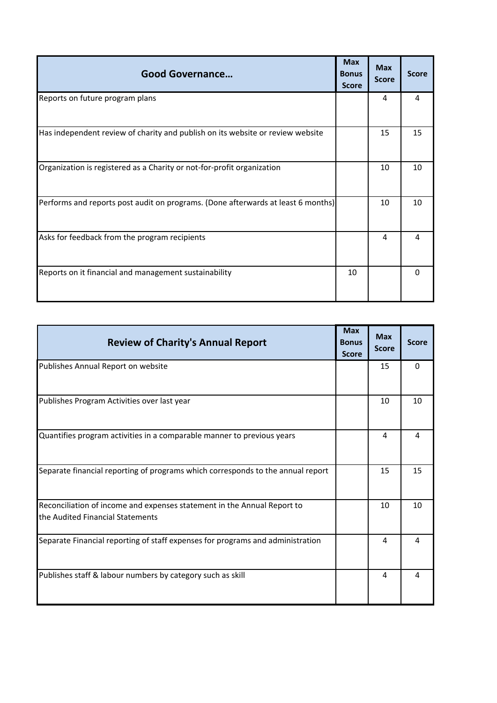| <b>Good Governance</b>                                                           | <b>Max</b><br><b>Bonus</b><br><b>Score</b> | <b>Max</b><br><b>Score</b> | <b>Score</b> |
|----------------------------------------------------------------------------------|--------------------------------------------|----------------------------|--------------|
| Reports on future program plans                                                  |                                            | 4                          | 4            |
| Has independent review of charity and publish on its website or review website   |                                            | 15                         | 15           |
| Organization is registered as a Charity or not-for-profit organization           |                                            | 10                         | 10           |
| Performs and reports post audit on programs. (Done afterwards at least 6 months) |                                            | 10                         | 10           |
| Asks for feedback from the program recipients                                    |                                            | 4                          | 4            |
| Reports on it financial and management sustainability                            | 10                                         |                            | 0            |

| <b>Review of Charity's Annual Report</b>                                                                    | <b>Max</b><br><b>Bonus</b><br><b>Score</b> | <b>Max</b><br><b>Score</b> | <b>Score</b> |
|-------------------------------------------------------------------------------------------------------------|--------------------------------------------|----------------------------|--------------|
| Publishes Annual Report on website                                                                          |                                            | 15                         | $\Omega$     |
| Publishes Program Activities over last year                                                                 |                                            | 10                         | 10           |
| Quantifies program activities in a comparable manner to previous years                                      |                                            | 4                          | 4            |
| Separate financial reporting of programs which corresponds to the annual report                             |                                            | 15                         | 15           |
| Reconciliation of income and expenses statement in the Annual Report to<br>the Audited Financial Statements |                                            | 10                         | 10           |
| Separate Financial reporting of staff expenses for programs and administration                              |                                            | 4                          | 4            |
| Publishes staff & labour numbers by category such as skill                                                  |                                            | 4                          | 4            |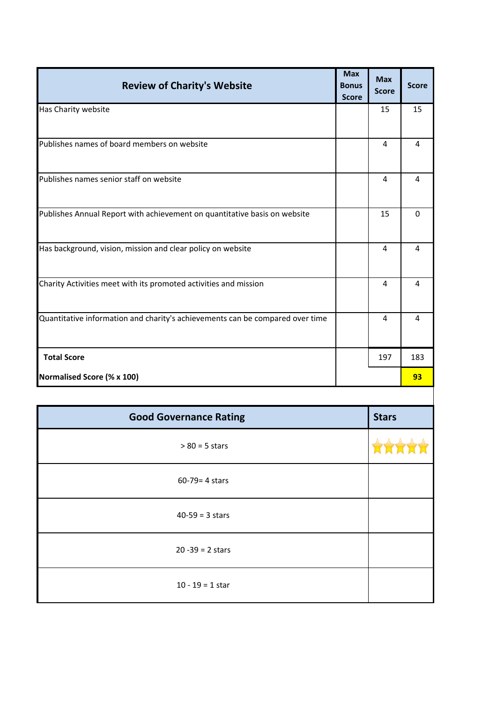| <b>Review of Charity's Website</b>                                            | <b>Max</b><br><b>Bonus</b> | <b>Max</b>   | <b>Score</b>   |
|-------------------------------------------------------------------------------|----------------------------|--------------|----------------|
|                                                                               | <b>Score</b>               | <b>Score</b> |                |
| Has Charity website                                                           |                            | 15           | 15             |
| Publishes names of board members on website                                   |                            | 4            | 4              |
| Publishes names senior staff on website                                       |                            | 4            | 4              |
| Publishes Annual Report with achievement on quantitative basis on website     |                            | 15           | $\Omega$       |
| Has background, vision, mission and clear policy on website                   |                            | 4            | $\overline{4}$ |
| Charity Activities meet with its promoted activities and mission              |                            | 4            | $\overline{4}$ |
| Quantitative information and charity's achievements can be compared over time |                            | 4            | $\overline{4}$ |
| <b>Total Score</b>                                                            |                            | 197          | 183            |
| Normalised Score (% x 100)                                                    |                            |              | 93             |
|                                                                               |                            |              |                |
| <b>Good Governance Rating</b>                                                 |                            | <b>Stars</b> |                |
| $> 80 = 5$ stars                                                              |                            |              |                |
| $60 - 79 = 4$ stars                                                           |                            |              |                |
| $40-59 = 3$ stars                                                             |                            |              |                |
| $20 - 39 = 2$ stars                                                           |                            |              |                |
| $10 - 19 = 1$ star                                                            |                            |              |                |